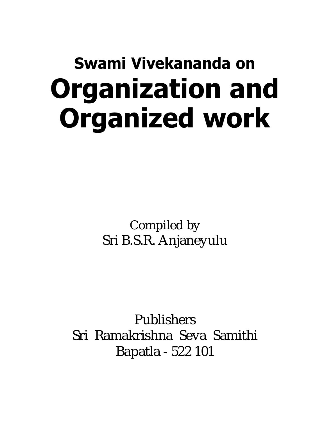# Swami Vivekananda on Organization and Organized work

Compiled by Sri B.S.R. Anjaneyulu

Publishers Sri Ramakrishna Seva Samithi Bapatla - 522 101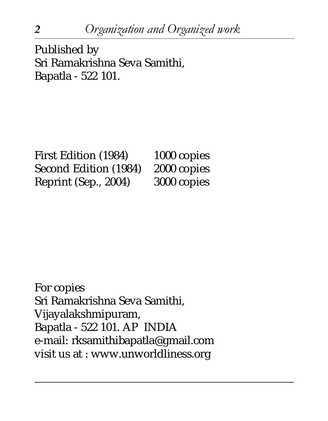Published by Sri Ramakrishna Seva Samithi, Bapatla - 522 101.

First Edition (1984) 1000 copies Second Edition (1984) 2000 copies Reprint (Sep., 2004) 3000 copies

For copies Sri Ramakrishna Seva Samithi, Vijayalakshmipuram, Bapatla - 522 101. AP INDIA e-mail: rksamithibapatla@gmail.com visit us at : www.unworldliness.org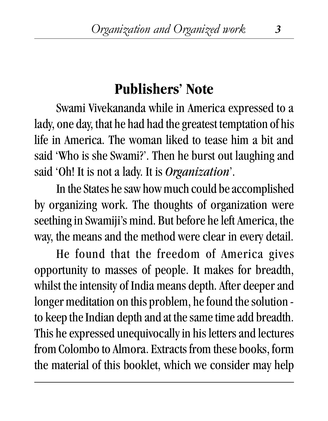#### **Publishers' Note**

Swami Vivekananda while in America expressed to a lady, one day, that he had had the greatest temptation of his life in America. The woman liked to tease him a bit and said 'Who is she Swami?'. Then he burst out laughing and said 'Oh! It is not a lady. It is *Organization*'.

In the States he saw how much could be accomplished by organizing work. The thoughts of organization were seething in Swamiji's mind. But before he left America, the way, the means and the method were clear in every detail.

He found that the freedom of America gives opportunity to masses of people. It makes for breadth, whilst the intensity of India means depth. After deeper and longer meditation on this problem, he found the solution to keep the Indian depth and at the same time add breadth. This he expressed unequivocally in his letters and lectures from Colombo to Almora. Extracts from these books, form the material of this booklet, which we consider may help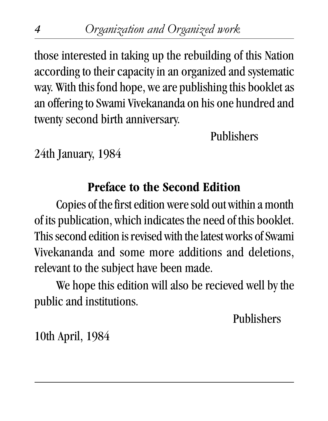those interested in taking up the rebuilding of this Nation according to their capacity in an organized and systematic way. With this fond hope, we are publishing this booklet as an offering to Swami Vivekananda on his one hundred and twenty second birth anniversary.

Publishers

24th January, 1984

#### **Preface to the Second Edition**

Copies of the first edition were sold out within a month of its publication, which indicates the need of this booklet. This second edition is revised with the latest works of Swami Vivekananda and some more additions and deletions, relevant to the subject have been made.

We hope this edition will also be recieved well by the public and institutions.

Publishers

10th April, 1984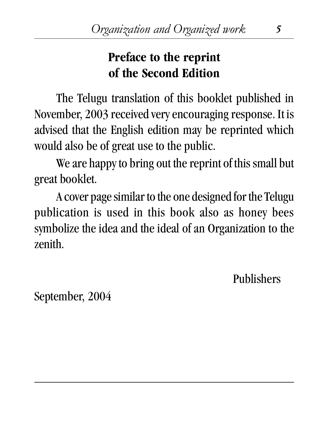#### **Preface to the reprint of the Second Edition**

The Telugu translation of this booklet published in November, 2003 received very encouraging response. It is advised that the English edition may be reprinted which would also be of great use to the public.

We are happy to bring out the reprint of this small but great booklet.

A cover page similar to the one designed for the Telugu publication is used in this book also as honey bees symbolize the idea and the ideal of an Organization to the zenith.

Publishers

September, 2004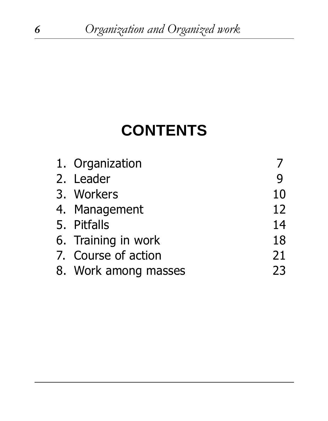## **CONTENTS**

| 1. Organization      |    |
|----------------------|----|
| 2. Leader            | q  |
| 3. Workers           | 10 |
| 4. Management        | 12 |
| 5. Pitfalls          | 14 |
| 6. Training in work  | 18 |
| 7. Course of action  | 21 |
| 8. Work among masses | 23 |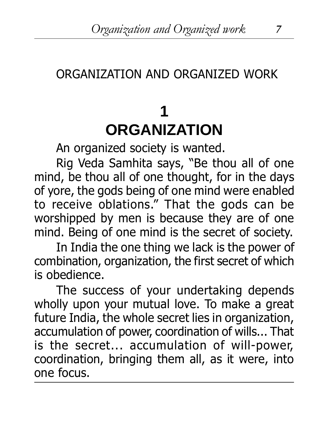#### ORGANIZATION AND ORGANIZED WORK

## **1 ORGANIZATION**

An organized society is wanted.

Rig Veda Samhita says, "Be thou all of one mind, be thou all of one thought, for in the days of yore, the gods being of one mind were enabled to receive oblations." That the gods can be worshipped by men is because they are of one mind. Being of one mind is the secret of society.

In India the one thing we lack is the power of combination, organization, the first secret of which is obedience.

The success of your undertaking depends wholly upon your mutual love. To make a great future India, the whole secret lies in organization, accumulation of power, coordination of wills... That is the secret... accumulation of will-power, coordination, bringing them all, as it were, into one focus.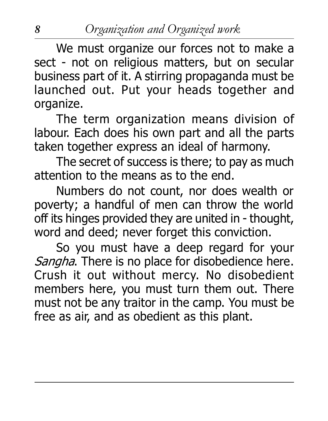We must organize our forces not to make a sect - not on religious matters, but on secular business part of it. A stirring propaganda must be launched out. Put your heads together and organize.

The term organization means division of labour. Each does his own part and all the parts taken together express an ideal of harmony.

The secret of success is there; to pay as much attention to the means as to the end.

Numbers do not count, nor does wealth or poverty; a handful of men can throw the world off its hinges provided they are united in - thought, word and deed; never forget this conviction.

So you must have a deep regard for your Sangha. There is no place for disobedience here. Crush it out without mercy. No disobedient members here, you must turn them out. There must not be any traitor in the camp. You must be free as air, and as obedient as this plant.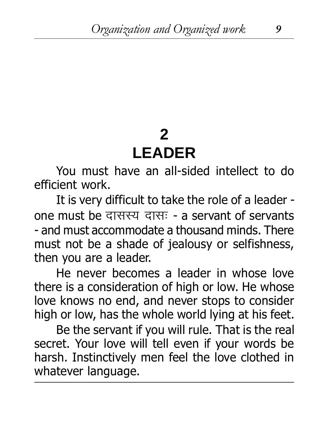#### **2 LEADER**

You must have an all-sided intellect to do efficient work.

It is very difficult to take the role of a leader one must be दासस्य दासः - a servant of servants - and must accommodate a thousand minds. There must not be a shade of jealousy or selfishness, then you are a leader.

He never becomes a leader in whose love there is a consideration of high or low. He whose love knows no end, and never stops to consider high or low, has the whole world lying at his feet.

Be the servant if you will rule. That is the real secret. Your love will tell even if your words be harsh. Instinctively men feel the love clothed in whatever language.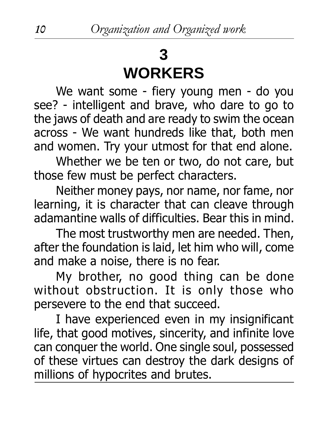### **3 WORKERS**

We want some - fiery young men - do you see? - intelligent and brave, who dare to go to the jaws of death and are ready to swim the ocean across - We want hundreds like that, both men and women. Try your utmost for that end alone.

Whether we be ten or two, do not care, but those few must be perfect characters.

Neither money pays, nor name, nor fame, nor learning, it is character that can cleave through adamantine walls of difficulties. Bear this in mind.

The most trustworthy men are needed. Then, after the foundation is laid, let him who will, come and make a noise, there is no fear.

My brother, no good thing can be done without obstruction. It is only those who persevere to the end that succeed.

I have experienced even in my insignificant life, that good motives, sincerity, and infinite love can conquer the world. One single soul, possessed of these virtues can destroy the dark designs of millions of hypocrites and brutes.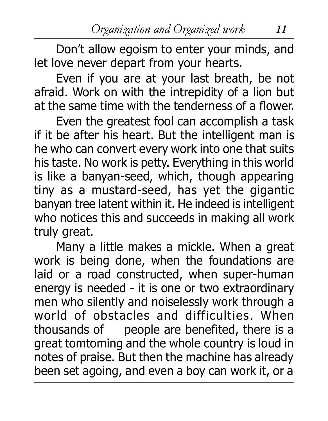Don't allow egoism to enter your minds, and let love never depart from your hearts.

Even if you are at your last breath, be not afraid. Work on with the intrepidity of a lion but at the same time with the tenderness of a flower.

Even the greatest fool can accomplish a task if it be after his heart. But the intelligent man is he who can convert every work into one that suits his taste. No work is petty. Everything in this world is like a banyan-seed, which, though appearing tiny as a mustard-seed, has yet the gigantic banyan tree latent within it. He indeed is intelligent who notices this and succeeds in making all work truly great.

Many a little makes a mickle. When a great work is being done, when the foundations are laid or a road constructed, when super-human energy is needed - it is one or two extraordinary men who silently and noiselessly work through a world of obstacles and difficulties. When thousands of people are benefited, there is a great tomtoming and the whole country is loud in notes of praise. But then the machine has already been set agoing, and even a boy can work it, or a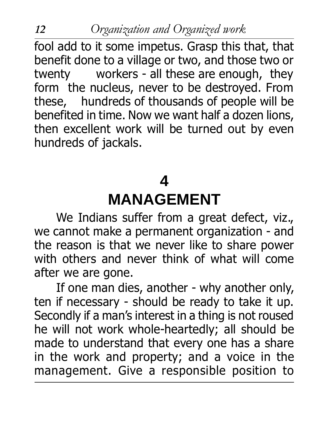fool add to it some impetus. Grasp this that, that benefit done to a village or two, and those two or twenty workers - all these are enough, they form the nucleus, never to be destroyed. From these, hundreds of thousands of people will be benefited in time. Now we want half a dozen lions, then excellent work will be turned out by even hundreds of jackals.

#### **4 MANAGEMENT**

We Indians suffer from a great defect, viz., we cannot make a permanent organization - and the reason is that we never like to share power with others and never think of what will come after we are gone.

If one man dies, another - why another only, ten if necessary - should be ready to take it up. Secondly if a man's interest in a thing is not roused he will not work whole-heartedly; all should be made to understand that every one has a share in the work and property; and a voice in the management. Give a responsible position to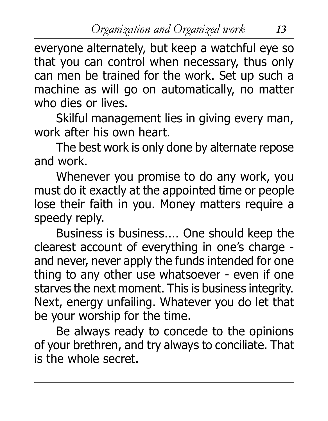everyone alternately, but keep a watchful eye so that you can control when necessary, thus only can men be trained for the work. Set up such a machine as will go on automatically, no matter who dies or lives.

Skilful management lies in giving every man, work after his own heart.

The best work is only done by alternate repose and work.

Whenever you promise to do any work, you must do it exactly at the appointed time or people lose their faith in you. Money matters require a speedy reply.

Business is business.... One should keep the clearest account of everything in one's charge and never, never apply the funds intended for one thing to any other use whatsoever - even if one starves the next moment. This is business integrity. Next, energy unfailing. Whatever you do let that be your worship for the time.

Be always ready to concede to the opinions of your brethren, and try always to conciliate. That is the whole secret.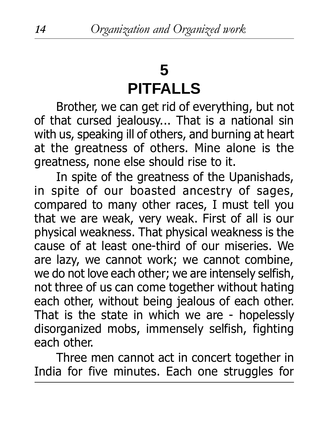## **5 PITFALLS**

Brother, we can get rid of everything, but not of that cursed jealousy... That is a national sin with us, speaking ill of others, and burning at heart at the greatness of others. Mine alone is the greatness, none else should rise to it.

In spite of the greatness of the Upanishads, in spite of our boasted ancestry of sages, compared to many other races, I must tell you that we are weak, very weak. First of all is our physical weakness. That physical weakness is the cause of at least one-third of our miseries. We are lazy, we cannot work; we cannot combine, we do not love each other; we are intensely selfish, not three of us can come together without hating each other, without being jealous of each other. That is the state in which we are - hopelessly disorganized mobs, immensely selfish, fighting each other.

Three men cannot act in concert together in India for five minutes. Each one struggles for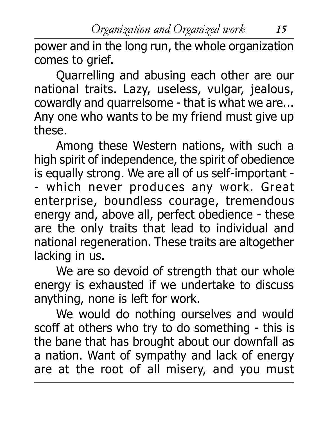Organization and Organized work 15

power and in the long run, the whole organization comes to grief.

Quarrelling and abusing each other are our national traits. Lazy, useless, vulgar, jealous, cowardly and quarrelsome - that is what we are... Any one who wants to be my friend must give up these.

Among these Western nations, with such a high spirit of independence, the spirit of obedience is equally strong. We are all of us self-important - - which never produces any work. Great enterprise, boundless courage, tremendous energy and, above all, perfect obedience - these are the only traits that lead to individual and national regeneration. These traits are altogether lacking in us.

We are so devoid of strength that our whole energy is exhausted if we undertake to discuss anything, none is left for work.

We would do nothing ourselves and would scoff at others who try to do something - this is the bane that has brought about our downfall as a nation. Want of sympathy and lack of energy are at the root of all misery, and you must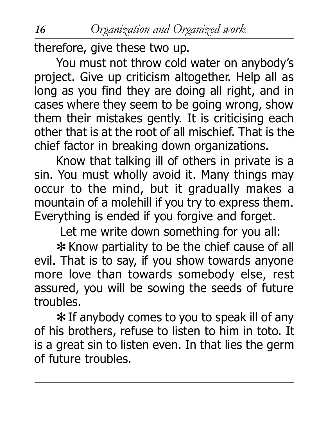therefore, give these two up.

You must not throw cold water on anybody's project. Give up criticism altogether. Help all as long as you find they are doing all right, and in cases where they seem to be going wrong, show them their mistakes gently. It is criticising each other that is at the root of all mischief. That is the chief factor in breaking down organizations.

Know that talking ill of others in private is a sin. You must wholly avoid it. Many things may occur to the mind, but it gradually makes a mountain of a molehill if you try to express them. Everything is ended if you forgive and forget.

Let me write down something for you all:

✻ Know partiality to be the chief cause of all evil. That is to say, if you show towards anyone more love than towards somebody else, rest assured, you will be sowing the seeds of future troubles.

✻ If anybody comes to you to speak ill of any of his brothers, refuse to listen to him in toto. It is a great sin to listen even. In that lies the germ of future troubles.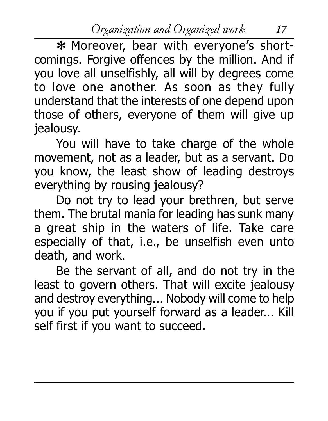Organization and Organized work 17

\* Moreover, bear with everyone's shortcomings. Forgive offences by the million. And if you love all unselfishly, all will by degrees come to love one another. As soon as they fully understand that the interests of one depend upon those of others, everyone of them will give up jealousy.

You will have to take charge of the whole movement, not as a leader, but as a servant. Do you know, the least show of leading destroys everything by rousing jealousy?

Do not try to lead your brethren, but serve them. The brutal mania for leading has sunk many a great ship in the waters of life. Take care especially of that, i.e., be unselfish even unto death, and work.

Be the servant of all, and do not try in the least to govern others. That will excite jealousy and destroy everything... Nobody will come to help you if you put yourself forward as a leader... Kill self first if you want to succeed.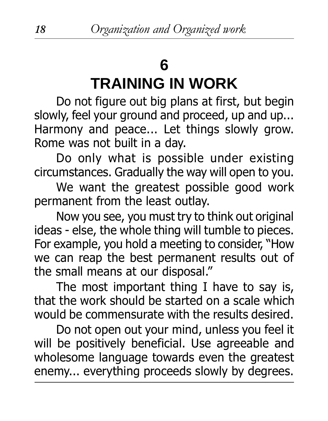## **6**

# **TRAINING IN WORK**

Do not figure out big plans at first, but begin slowly, feel your ground and proceed, up and up... Harmony and peace... Let things slowly grow. Rome was not built in a day.

Do only what is possible under existing circumstances. Gradually the way will open to you.

We want the greatest possible good work permanent from the least outlay.

Now you see, you must try to think out original ideas - else, the whole thing will tumble to pieces. For example, you hold a meeting to consider, "How we can reap the best permanent results out of the small means at our disposal.

The most important thing I have to say is, that the work should be started on a scale which would be commensurate with the results desired.

Do not open out your mind, unless you feel it will be positively beneficial. Use agreeable and wholesome language towards even the greatest enemy... everything proceeds slowly by degrees.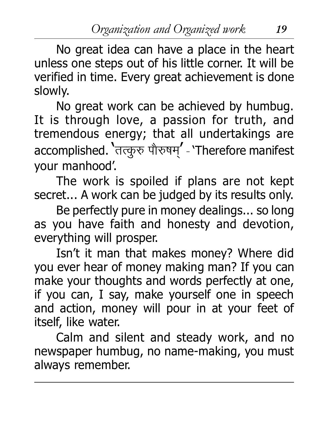Organization and Organized work 19

No great idea can have a place in the heart unless one steps out of his little corner. It will be verified in time. Every great achievement is done slowly.

No great work can be achieved by humbug. It is through love, a passion for truth, and tremendous energy; that all undertakings are accomplished. 'तत्कृरु पौरुषम' - 'Therefore manifest your manhood.

The work is spoiled if plans are not kept secret... A work can be judged by its results only.

Be perfectly pure in money dealings... so long as you have faith and honesty and devotion, everything will prosper.

Isn't it man that makes money? Where did you ever hear of money making man? If you can make your thoughts and words perfectly at one, if you can, I say, make yourself one in speech and action, money will pour in at your feet of itself, like water.

Calm and silent and steady work, and no newspaper humbug, no name-making, you must always remember.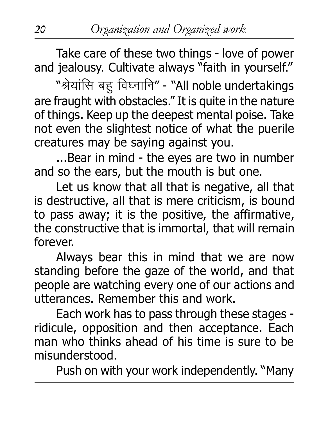Take care of these two things - love of power and jealousy. Cultivate always "faith in yourself."

"श्रेयांसि बह विघ्नानि" - "All noble undertakings are fraught with obstacles." It is quite in the nature of things. Keep up the deepest mental poise. Take not even the slightest notice of what the puerile creatures may be saying against you.

...Bear in mind - the eyes are two in number and so the ears, but the mouth is but one.

Let us know that all that is negative, all that is destructive, all that is mere criticism, is bound to pass away; it is the positive, the affirmative, the constructive that is immortal, that will remain forever.

Always bear this in mind that we are now standing before the gaze of the world, and that people are watching every one of our actions and utterances. Remember this and work.

Each work has to pass through these stages ridicule, opposition and then acceptance. Each man who thinks ahead of his time is sure to be misunderstood.

Push on with your work independently. "Many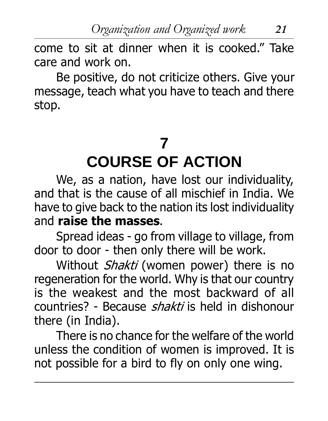come to sit at dinner when it is cooked." Take care and work on.

Be positive, do not criticize others. Give your message, teach what you have to teach and there stop.

### **7 COURSE OF ACTION**

We, as a nation, have lost our individuality, and that is the cause of all mischief in India. We have to give back to the nation its lost individuality and raise the masses.

Spread ideas - go from village to village, from door to door - then only there will be work.

Without Shakti (women power) there is no regeneration for the world. Why is that our country is the weakest and the most backward of all countries? - Because *shakti* is held in dishonour there (in India).

There is no chance for the welfare of the world unless the condition of women is improved. It is not possible for a bird to fly on only one wing.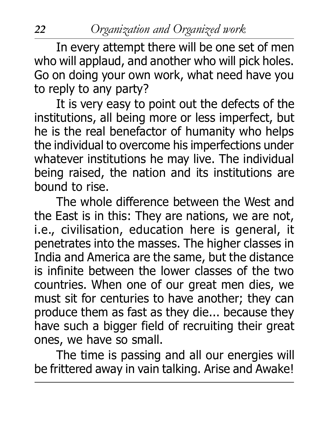In every attempt there will be one set of men who will applaud, and another who will pick holes. Go on doing your own work, what need have you to reply to any party?

It is very easy to point out the defects of the institutions, all being more or less imperfect, but he is the real benefactor of humanity who helps the individual to overcome his imperfections under whatever institutions he may live. The individual being raised, the nation and its institutions are bound to rise.

The whole difference between the West and the East is in this: They are nations, we are not, i.e., civilisation, education here is general, it penetrates into the masses. The higher classes in India and America are the same, but the distance is infinite between the lower classes of the two countries. When one of our great men dies, we must sit for centuries to have another; they can produce them as fast as they die... because they have such a bigger field of recruiting their great ones, we have so small.

The time is passing and all our energies will be frittered away in vain talking. Arise and Awake!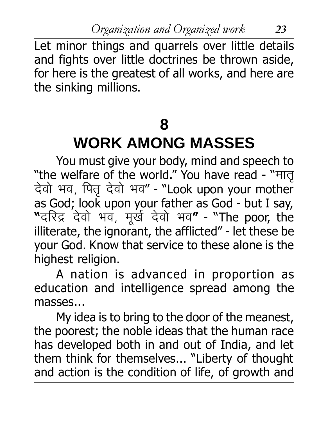Organization and Organized work 23

Let minor things and quarrels over little details and fights over little doctrines be thrown aside, for here is the greatest of all works, and here are the sinking millions.

### **8**

### **WORK AMONG MASSES**

You must give your body, mind and speech to<br>"the welfare of the world." You have read - "मात देवो भव, पितु देवो भव" - "Look upon your mother as God; look upon your father as God - but I say, "दरिद्र देवो भव, मूर्ख देवो भव**"** - "The poor, the illiterate, the ignorant, the afflicted" - let these be your God. Know that service to these alone is the highest religion.

A nation is advanced in proportion as education and intelligence spread among the masses...

My idea is to bring to the door of the meanest, the poorest; the noble ideas that the human race has developed both in and out of India, and let them think for themselves... "Liberty of thought and action is the condition of life, of growth and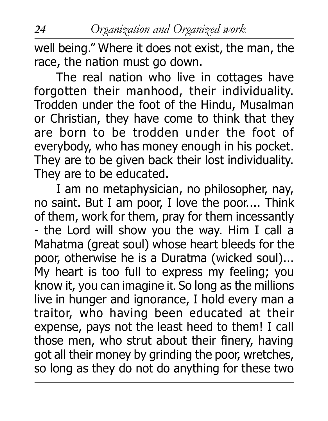well being." Where it does not exist, the man, the race, the nation must go down.

The real nation who live in cottages have forgotten their manhood, their individuality. Trodden under the foot of the Hindu, Musalman or Christian, they have come to think that they are born to be trodden under the foot of everybody, who has money enough in his pocket. They are to be given back their lost individuality. They are to be educated.

I am no metaphysician, no philosopher, nay, no saint. But I am poor, I love the poor.... Think of them, work for them, pray for them incessantly - the Lord will show you the way. Him I call a Mahatma (great soul) whose heart bleeds for the poor, otherwise he is a Duratma (wicked soul)... My heart is too full to express my feeling; you know it, you can imagine it. So long as the millions live in hunger and ignorance, I hold every man a traitor, who having been educated at their expense, pays not the least heed to them! I call those men, who strut about their finery, having got all their money by grinding the poor, wretches, so long as they do not do anything for these two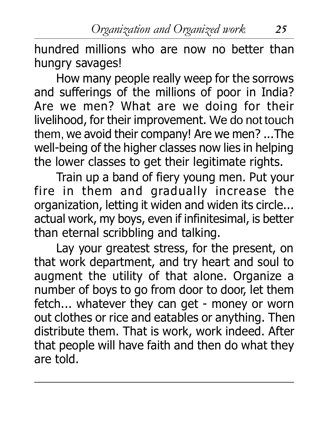hundred millions who are now no better than hungry savages!

How many people really weep for the sorrows and sufferings of the millions of poor in India? Are we men? What are we doing for their livelihood, for their improvement. We do not touch them, we avoid their company! Are we men? ...The well-being of the higher classes now lies in helping the lower classes to get their legitimate rights.

Train up a band of fiery young men. Put your fire in them and gradually increase the organization, letting it widen and widen its circle... actual work, my boys, even if infinitesimal, is better than eternal scribbling and talking.

Lay your greatest stress, for the present, on that work department, and try heart and soul to augment the utility of that alone. Organize a number of boys to go from door to door, let them fetch... whatever they can get - money or worn out clothes or rice and eatables or anything. Then distribute them. That is work, work indeed. After that people will have faith and then do what they are told.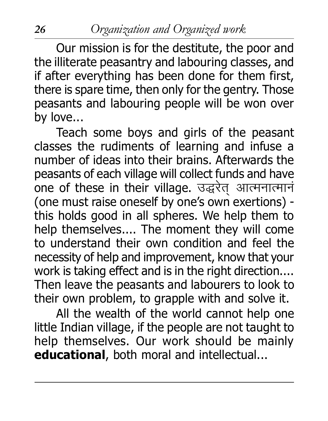Our mission is for the destitute, the poor and the illiterate peasantry and labouring classes, and if after everything has been done for them first, there is spare time, then only for the gentry. Those peasants and labouring people will be won over by love...

Teach some boys and girls of the peasant classes the rudiments of learning and infuse a number of ideas into their brains. Afterwards the peasants of each village will collect funds and have one of these in their village. उद्धरेत आत्मनात्मानं (one must raise oneself by one's own exertions) this holds good in all spheres. We help them to help themselves.... The moment they will come to understand their own condition and feel the necessity of help and improvement, know that your work is taking effect and is in the right direction.... Then leave the peasants and labourers to look to their own problem, to grapple with and solve it.

All the wealth of the world cannot help one little Indian village, if the people are not taught to help themselves. Our work should be mainly educational, both moral and intellectual...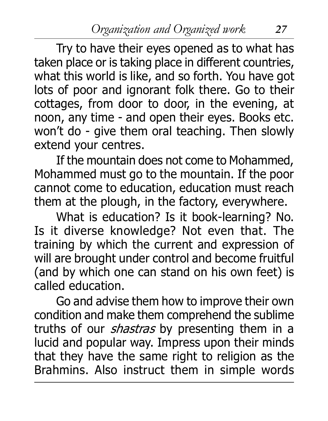Try to have their eyes opened as to what has taken place or is taking place in different countries, what this world is like, and so forth. You have got lots of poor and ignorant folk there. Go to their cottages, from door to door, in the evening, at noon, any time - and open their eyes. Books etc. won't do - give them oral teaching. Then slowly extend your centres.

If the mountain does not come to Mohammed, Mohammed must go to the mountain. If the poor cannot come to education, education must reach them at the plough, in the factory, everywhere.

What is education? Is it book-learning? No. Is it diverse knowledge? Not even that. The training by which the current and expression of will are brought under control and become fruitful (and by which one can stand on his own feet) is called education.

Go and advise them how to improve their own condition and make them comprehend the sublime truths of our *shastras* by presenting them in a lucid and popular way. Impress upon their minds that they have the same right to religion as the Brahmins. Also instruct them in simple words